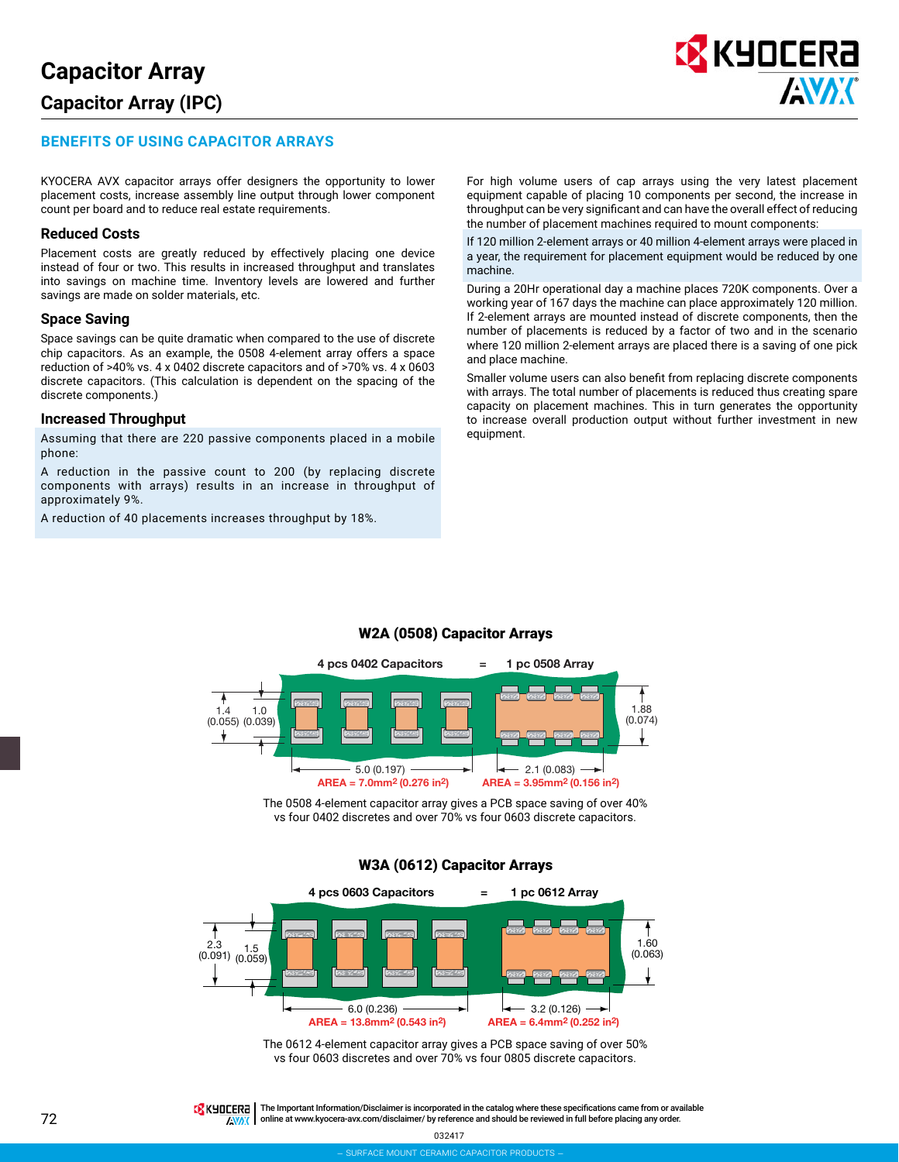# **BENEFITS OF USING CAPACITOR ARRAYS**

KYOCERA AVX capacitor arrays offer designers the opportunity to lower placement costs, increase assembly line output through lower component count per board and to reduce real estate requirements.

#### **Reduced Costs**

Placement costs are greatly reduced by effectively placing one device instead of four or two. This results in increased throughput and translates into savings on machine time. Inventory levels are lowered and further savings are made on solder materials, etc.

#### **Space Saving**

Space savings can be quite dramatic when compared to the use of discrete chip capacitors. As an example, the 0508 4-element array offers a space reduction of >40% vs. 4 x 0402 discrete capacitors and of >70% vs. 4 x 0603 discrete capacitors. (This calculation is dependent on the spacing of the discrete components.)

#### **Increased Throughput**

Assuming that there are 220 passive components placed in a mobile phone:

A reduction in the passive count to 200 (by replacing discrete components with arrays) results in an increase in throughput of approximately 9%.

A reduction of 40 placements increases throughput by 18%.

For high volume users of cap arrays using the very latest placement equipment capable of placing 10 components per second, the increase in throughput can be very significant and can have the overall effect of reducing the number of placement machines required to mount components:

<mark>K</mark> KYOCERA

**AVAK** 

If 120 million 2-element arrays or 40 million 4-element arrays were placed in a year, the requirement for placement equipment would be reduced by one machine.

During a 20Hr operational day a machine places 720K components. Over a working year of 167 days the machine can place approximately 120 million. If 2-element arrays are mounted instead of discrete components, then the number of placements is reduced by a factor of two and in the scenario where 120 million 2-element arrays are placed there is a saving of one pick and place machine.

Smaller volume users can also benefit from replacing discrete components with arrays. The total number of placements is reduced thus creating spare capacity on placement machines. This in turn generates the opportunity to increase overall production output without further investment in new equipment.



# W2A (0508) Capacitor Arrays

The 0508 4-element capacitor array gives a PCB space saving of over 40% vs four 0402 discretes and over 70% vs four 0603 discrete capacitors.

#### W3A (0612) Capacitor Arrays



The 0612 4-element capacitor array gives a PCB space saving of over 50% vs four 0603 discretes and over 70% vs four 0805 discrete capacitors.

TRK HULLERA | The Important Information/Disclaimer is incorporated in the catalog where these specifications came from or available online at [www.kyocera-avx.com/disclaimer/](http://www.kyocera-avx.com/disclaimer/) by reference and should be reviewed in full before placing any order.**EXAC**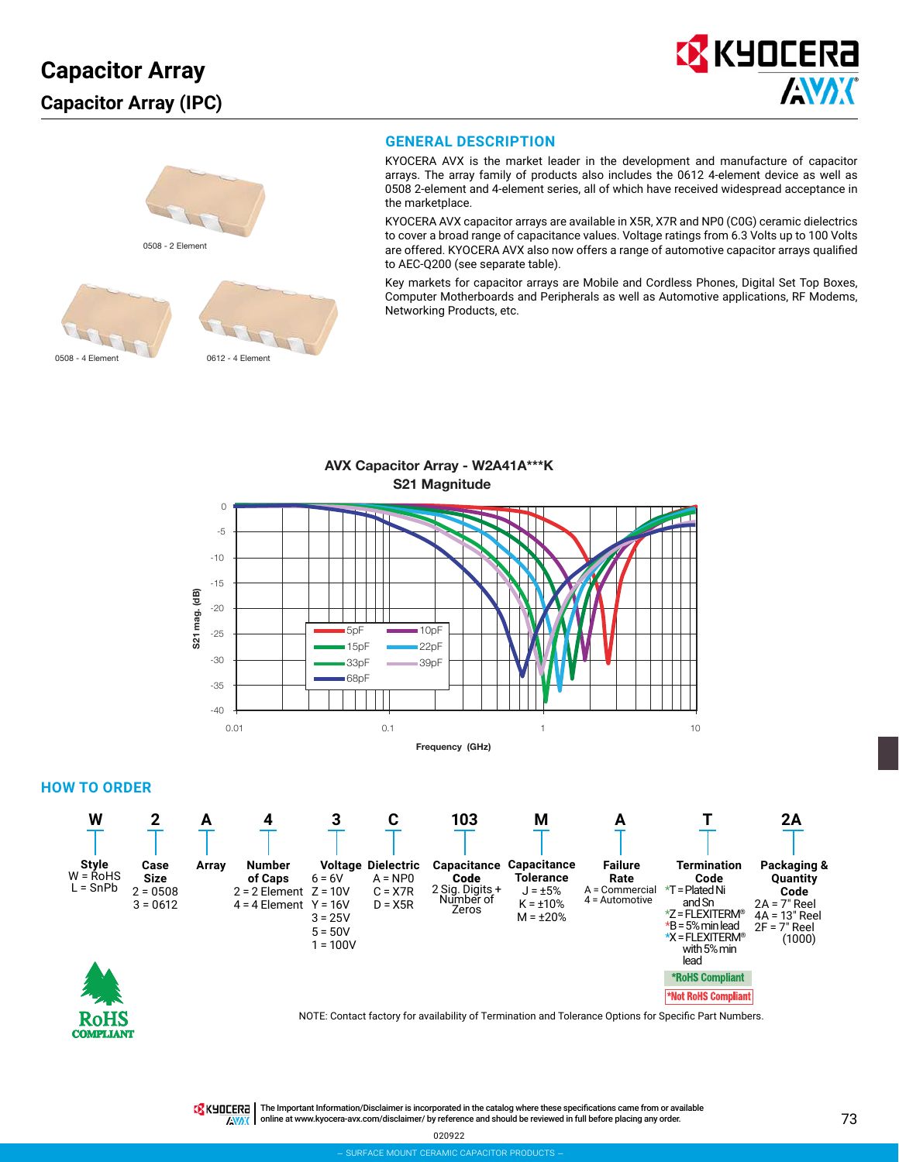



## **GENERAL DESCRIPTION**

KYOCERA AVX is the market leader in the development and manufacture of capacitor arrays. The array family of products also includes the 0612 4-element device as well as 0508 2-element and 4-element series, all of which have received widespread acceptance in the marketplace.

KYOCERA AVX capacitor arrays are available in X5R, X7R and NP0 (C0G) ceramic dielectrics to cover a broad range of capacitance values. Voltage ratings from 6.3 Volts up to 100 Volts are offered. KYOCERA AVX also now offers a range of automotive capacitor arrays qualified to AEC-Q200 (see separate table).

Key markets for capacitor arrays are Mobile and Cordless Phones, Digital Set Top Boxes, Computer Motherboards and Peripherals as well as Automotive applications, RF Modems, Networking Products, etc.



#### **HOW TO ORDER**

**MPLIANT** 



TRK HILLERA | The Important Information/Disclaimer is incorporated in the catalog where these specifications came from or available online at [www.kyocera-avx.com/disclaimer/](http://www.kyocera-avx.com/disclaimer/) by reference and should be reviewed in full before placing any order.**EXAC** 

020922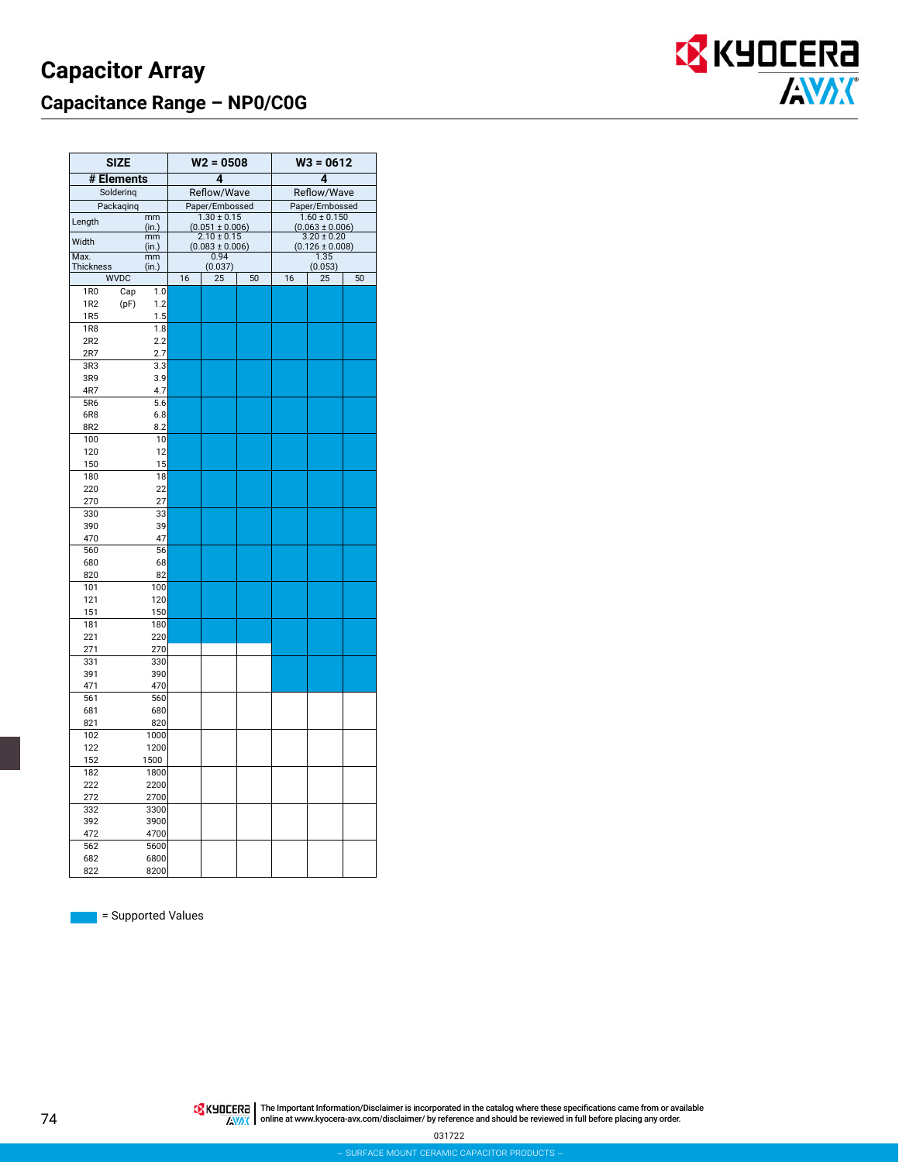

| <b>SIZE</b>                           |             |                | $W2 = 0508$                            |    | $W3 = 0612$                             |                                        |    |  |
|---------------------------------------|-------------|----------------|----------------------------------------|----|-----------------------------------------|----------------------------------------|----|--|
| # Elements                            |             |                | 4                                      |    | 4                                       |                                        |    |  |
| Soldering                             |             |                | Reflow/Wave                            |    | Reflow/Wave                             |                                        |    |  |
| Packaqinq                             |             | Paper/Embossed |                                        |    | Paper/Embossed                          |                                        |    |  |
| Length                                | mm<br>(in.) |                | $1.30 \pm 0.15$<br>$(0.051 \pm 0.006)$ |    | $1.60 \pm 0.150$<br>$(0.063 \pm 0.006)$ |                                        |    |  |
| Width                                 | mm<br>(in.) |                | $2.10 \pm 0.15$<br>$(0.083 \pm 0.006)$ |    |                                         | $3.20 \pm 0.20$<br>$(0.126 \pm 0.008)$ |    |  |
| Max.                                  | mm          |                | 0.94                                   |    |                                         | 1.35                                   |    |  |
| <b>Thickness</b>                      | (in.)       |                | (0.037)                                | 50 |                                         | (0.053)                                |    |  |
| <b>WVDC</b>                           |             | 16             | 25                                     |    | 16                                      | 25                                     | 50 |  |
| 1R <sub>0</sub><br>Cap                | 1.0         |                |                                        |    |                                         |                                        |    |  |
| 1R <sub>2</sub><br>(pF)<br><b>1R5</b> | 1.2<br>1.5  |                |                                        |    |                                         |                                        |    |  |
| <b>1R8</b>                            | 1.8         |                |                                        |    |                                         |                                        |    |  |
| 2R2                                   | 2.2         |                |                                        |    |                                         |                                        |    |  |
| 2R7                                   | 2.7         |                |                                        |    |                                         |                                        |    |  |
| 3R3                                   | 3.3         |                |                                        |    |                                         |                                        |    |  |
| 3R9                                   | 3.9         |                |                                        |    |                                         |                                        |    |  |
| 4R7                                   | 4.7         |                |                                        |    |                                         |                                        |    |  |
| 5R6                                   | 5.6         |                |                                        |    |                                         |                                        |    |  |
| 6R8                                   | 6.8         |                |                                        |    |                                         |                                        |    |  |
| 8R2                                   | 8.2         |                |                                        |    |                                         |                                        |    |  |
| 100                                   | 10          |                |                                        |    |                                         |                                        |    |  |
| 120                                   | 12          |                |                                        |    |                                         |                                        |    |  |
| 150                                   | 15          |                |                                        |    |                                         |                                        |    |  |
| 180                                   | 18          |                |                                        |    |                                         |                                        |    |  |
| 220                                   | 22          |                |                                        |    |                                         |                                        |    |  |
| 270                                   | 27          |                |                                        |    |                                         |                                        |    |  |
| 330                                   | 33          |                |                                        |    |                                         |                                        |    |  |
| 390                                   | 39          |                |                                        |    |                                         |                                        |    |  |
| 470                                   | 47          |                |                                        |    |                                         |                                        |    |  |
| 560                                   | 56          |                |                                        |    |                                         |                                        |    |  |
| 680                                   | 68          |                |                                        |    |                                         |                                        |    |  |
| 820                                   | 82          |                |                                        |    |                                         |                                        |    |  |
| 101                                   | 100         |                |                                        |    |                                         |                                        |    |  |
| 121                                   | 120         |                |                                        |    |                                         |                                        |    |  |
| 151                                   | 150         |                |                                        |    |                                         |                                        |    |  |
| 181                                   | 180         |                |                                        |    |                                         |                                        |    |  |
| 221                                   | 220         |                |                                        |    |                                         |                                        |    |  |
| 271<br>331                            | 270<br>330  |                |                                        |    |                                         |                                        |    |  |
| 391                                   | 390         |                |                                        |    |                                         |                                        |    |  |
| 471                                   | 470         |                |                                        |    |                                         |                                        |    |  |
| 561                                   | 560         |                |                                        |    |                                         |                                        |    |  |
| 681                                   | 680         |                |                                        |    |                                         |                                        |    |  |
| 821                                   | 820         |                |                                        |    |                                         |                                        |    |  |
| 102                                   | 1000        |                |                                        |    |                                         |                                        |    |  |
| 122                                   | 1200        |                |                                        |    |                                         |                                        |    |  |
| 152                                   | 1500        |                |                                        |    |                                         |                                        |    |  |
| 182                                   | 1800        |                |                                        |    |                                         |                                        |    |  |
| 222                                   | 2200        |                |                                        |    |                                         |                                        |    |  |
| 272                                   | 2700        |                |                                        |    |                                         |                                        |    |  |
| 332                                   | 3300        |                |                                        |    |                                         |                                        |    |  |
| 392                                   | 3900        |                |                                        |    |                                         |                                        |    |  |
| 472                                   | 4700        |                |                                        |    |                                         |                                        |    |  |
| 562                                   | 5600        |                |                                        |    |                                         |                                        |    |  |
| 682                                   | 6800        |                |                                        |    |                                         |                                        |    |  |
| 822                                   | 8200        |                |                                        |    |                                         |                                        |    |  |

![](_page_2_Picture_3.jpeg)

Supported Values

The Important Information/Disclaimer is incorporated in the catalog where these specifications came from or available<br>online at [www.kyocera-avx.com/disclaimer/](http://www.kyocera-avx.com/disclaimer/) by reference and should be reviewed in full before placing any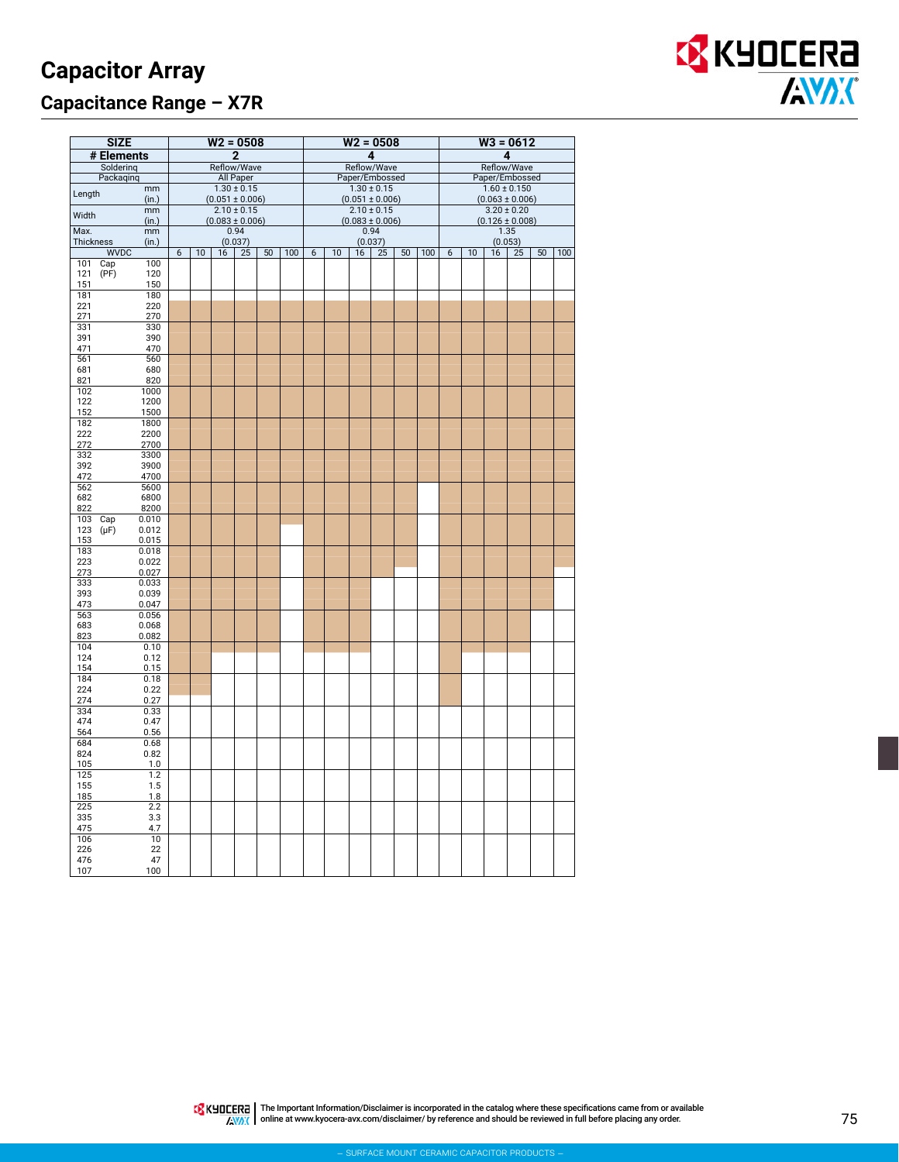# **Capacitor Array Capacitance Range – X7R**

![](_page_3_Picture_1.jpeg)

|            | <b>SIZE</b> |                |   |    |    | $W2 = 0508$                            |    |     |   |                                   |    | $W2 = 0508$         |                |     |                                         |    | $W3 = 0612$         |                 |    |     |
|------------|-------------|----------------|---|----|----|----------------------------------------|----|-----|---|-----------------------------------|----|---------------------|----------------|-----|-----------------------------------------|----|---------------------|-----------------|----|-----|
|            | # Elements  |                |   |    |    | $\overline{2}$                         |    |     | 4 |                                   |    |                     | 4              |     |                                         |    |                     |                 |    |     |
|            | Soldering   |                |   |    |    | Reflow/Wave                            |    |     |   | Reflow/Wave                       |    |                     | Reflow/Wave    |     |                                         |    |                     |                 |    |     |
|            | Packaqinq   |                |   |    |    | All Paper                              |    |     |   | Paper/Embossed<br>$1.30 \pm 0.15$ |    |                     | Paper/Embossed |     |                                         |    |                     |                 |    |     |
| Length     |             | mm<br>(in.)    |   |    |    | $1.30 \pm 0.15$<br>$(0.051 \pm 0.006)$ |    |     |   |                                   |    | $(0.051 \pm 0.006)$ |                |     | $1.60 \pm 0.150$<br>$(0.063 \pm 0.006)$ |    |                     |                 |    |     |
|            |             | mm             |   |    |    | $2.10 \pm 0.15$                        |    |     |   |                                   |    | $2.10 \pm 0.15$     |                |     |                                         |    |                     | $3.20 \pm 0.20$ |    |     |
| Width      |             | (in.)          |   |    |    | $(0.083 \pm 0.006)$                    |    |     |   |                                   |    | $(0.083 \pm 0.006)$ |                |     |                                         |    | $(0.126 \pm 0.008)$ |                 |    |     |
| Max.       |             | mm             |   |    |    | 0.94                                   |    |     |   |                                   |    | 0.94                |                |     |                                         |    |                     | 1.35            |    |     |
| Thickness  | <b>WVDC</b> | (in.)          | 6 | 10 | 16 | (0.037)<br>25                          | 50 | 100 | 6 | 10                                | 16 | (0.037)<br>25       | 50             | 100 | 6                                       | 10 | 16                  | (0.053)<br>25   | 50 | 100 |
| 101        | Cap         | 100            |   |    |    |                                        |    |     |   |                                   |    |                     |                |     |                                         |    |                     |                 |    |     |
| 121        | (PF)        | 120            |   |    |    |                                        |    |     |   |                                   |    |                     |                |     |                                         |    |                     |                 |    |     |
| 151<br>181 |             | 150<br>180     |   |    |    |                                        |    |     |   |                                   |    |                     |                |     |                                         |    |                     |                 |    |     |
| 221        |             | 220            |   |    |    |                                        |    |     |   |                                   |    |                     |                |     |                                         |    |                     |                 |    |     |
| 271        |             | 270            |   |    |    |                                        |    |     |   |                                   |    |                     |                |     |                                         |    |                     |                 |    |     |
| 331        |             | 330            |   |    |    |                                        |    |     |   |                                   |    |                     |                |     |                                         |    |                     |                 |    |     |
| 391<br>471 |             | 390<br>470     |   |    |    |                                        |    |     |   |                                   |    |                     |                |     |                                         |    |                     |                 |    |     |
| 561        |             | 560            |   |    |    |                                        |    |     |   |                                   |    |                     |                |     |                                         |    |                     |                 |    |     |
| 681        |             | 680            |   |    |    |                                        |    |     |   |                                   |    |                     |                |     |                                         |    |                     |                 |    |     |
| 821<br>102 |             | 820<br>1000    |   |    |    |                                        |    |     |   |                                   |    |                     |                |     |                                         |    |                     |                 |    |     |
| 122        |             | 1200           |   |    |    |                                        |    |     |   |                                   |    |                     |                |     |                                         |    |                     |                 |    |     |
| 152        |             | 1500           |   |    |    |                                        |    |     |   |                                   |    |                     |                |     |                                         |    |                     |                 |    |     |
| 182        |             | 1800           |   |    |    |                                        |    |     |   |                                   |    |                     |                |     |                                         |    |                     |                 |    |     |
| 222<br>272 |             | 2200<br>2700   |   |    |    |                                        |    |     |   |                                   |    |                     |                |     |                                         |    |                     |                 |    |     |
| 332        |             | 3300           |   |    |    |                                        |    |     |   |                                   |    |                     |                |     |                                         |    |                     |                 |    |     |
| 392        |             | 3900           |   |    |    |                                        |    |     |   |                                   |    |                     |                |     |                                         |    |                     |                 |    |     |
| 472<br>562 |             | 4700<br>5600   |   |    |    |                                        |    |     |   |                                   |    |                     |                |     |                                         |    |                     |                 |    |     |
| 682        |             | 6800           |   |    |    |                                        |    |     |   |                                   |    |                     |                |     |                                         |    |                     |                 |    |     |
| 822        |             | 8200           |   |    |    |                                        |    |     |   |                                   |    |                     |                |     |                                         |    |                     |                 |    |     |
| 103        | Cap         | 0.010          |   |    |    |                                        |    |     |   |                                   |    |                     |                |     |                                         |    |                     |                 |    |     |
| 123<br>153 | $(\mu F)$   | 0.012<br>0.015 |   |    |    |                                        |    |     |   |                                   |    |                     |                |     |                                         |    |                     |                 |    |     |
| 183        |             | 0.018          |   |    |    |                                        |    |     |   |                                   |    |                     |                |     |                                         |    |                     |                 |    |     |
| 223        |             | 0.022          |   |    |    |                                        |    |     |   |                                   |    |                     |                |     |                                         |    |                     |                 |    |     |
| 273<br>333 |             | 0.027<br>0.033 |   |    |    |                                        |    |     |   |                                   |    |                     |                |     |                                         |    |                     |                 |    |     |
| 393        |             | 0.039          |   |    |    |                                        |    |     |   |                                   |    |                     |                |     |                                         |    |                     |                 |    |     |
| 473        |             | 0.047          |   |    |    |                                        |    |     |   |                                   |    |                     |                |     |                                         |    |                     |                 |    |     |
| 563        |             | 0.056          |   |    |    |                                        |    |     |   |                                   |    |                     |                |     |                                         |    |                     |                 |    |     |
| 683<br>823 |             | 0.068<br>0.082 |   |    |    |                                        |    |     |   |                                   |    |                     |                |     |                                         |    |                     |                 |    |     |
| 104        |             | 0.10           |   |    |    |                                        |    |     |   |                                   |    |                     |                |     |                                         |    |                     |                 |    |     |
| 124        |             | 0.12           |   |    |    |                                        |    |     |   |                                   |    |                     |                |     |                                         |    |                     |                 |    |     |
| 154<br>184 |             | 0.15<br>0.18   |   |    |    |                                        |    |     |   |                                   |    |                     |                |     |                                         |    |                     |                 |    |     |
| 224        |             | 0.22           |   |    |    |                                        |    |     |   |                                   |    |                     |                |     |                                         |    |                     |                 |    |     |
| 274        |             | 0.27           |   |    |    |                                        |    |     |   |                                   |    |                     |                |     |                                         |    |                     |                 |    |     |
| 334<br>474 |             | 0.33           |   |    |    |                                        |    |     |   |                                   |    |                     |                |     |                                         |    |                     |                 |    |     |
| 564        |             | 0.47<br>0.56   |   |    |    |                                        |    |     |   |                                   |    |                     |                |     |                                         |    |                     |                 |    |     |
| 684        |             | 0.68           |   |    |    |                                        |    |     |   |                                   |    |                     |                |     |                                         |    |                     |                 |    |     |
| 824        |             | 0.82           |   |    |    |                                        |    |     |   |                                   |    |                     |                |     |                                         |    |                     |                 |    |     |
| 105<br>125 |             | 1.0<br>1.2     |   |    |    |                                        |    |     |   |                                   |    |                     |                |     |                                         |    |                     |                 |    |     |
| 155        |             | 1.5            |   |    |    |                                        |    |     |   |                                   |    |                     |                |     |                                         |    |                     |                 |    |     |
| 185        |             | 1.8            |   |    |    |                                        |    |     |   |                                   |    |                     |                |     |                                         |    |                     |                 |    |     |
| 225        |             | 2.2            |   |    |    |                                        |    |     |   |                                   |    |                     |                |     |                                         |    |                     |                 |    |     |
| 335<br>475 |             | 3.3<br>4.7     |   |    |    |                                        |    |     |   |                                   |    |                     |                |     |                                         |    |                     |                 |    |     |
| 106        |             | 10             |   |    |    |                                        |    |     |   |                                   |    |                     |                |     |                                         |    |                     |                 |    |     |
| 226        |             | 22             |   |    |    |                                        |    |     |   |                                   |    |                     |                |     |                                         |    |                     |                 |    |     |
| 476        |             | 47<br>100      |   |    |    |                                        |    |     |   |                                   |    |                     |                |     |                                         |    |                     |                 |    |     |
| 107        |             |                |   |    |    |                                        |    |     |   |                                   |    |                     |                |     |                                         |    |                     |                 |    |     |

The Important Information/Disclaimer is incorporated in the catalog where these specifications came from or available<br>online at [www.kyocera-avx.com/disclaimer/](http://www.kyocera-avx.com/disclaimer/) by reference and should be reviewed in full before placing any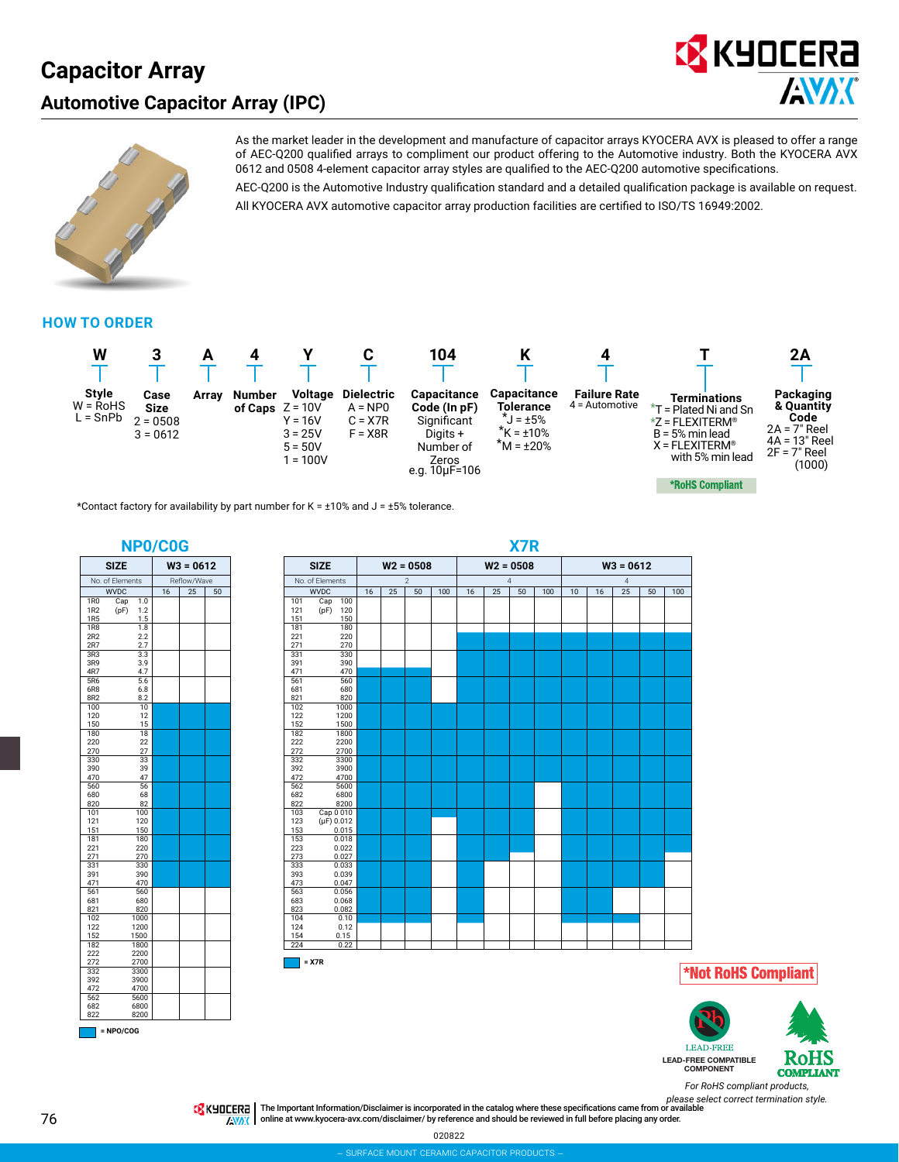# **Capacitor Array Automotive Capacitor Array (IPC)**

![](_page_4_Picture_1.jpeg)

![](_page_4_Picture_2.jpeg)

As the market leader in the development and manufacture of capacitor arrays KYOCERA AVX is pleased to offer a range of AEC-Q200 qualified arrays to compliment our product offering to the Automotive industry. Both the KYOCERA AVX 0612 and 0508 4-element capacitor array styles are qualified to the AEC-Q200 automotive specifications.

AEC-Q200 is the Automotive Industry qualification standard and a detailed qualification package is available on request. All KYOCERA AVX automotive capacitor array production facilities are certified to ISO/TS 16949:2002.

#### **HOW TO ORDER**

![](_page_4_Figure_6.jpeg)

\*Contact factory for availability by part number for K =  $\pm 10\%$  and J =  $\pm 5\%$  tolerance.

![](_page_4_Figure_8.jpeg)

![](_page_4_Figure_9.jpeg)

![](_page_4_Picture_10.jpeg)

![](_page_4_Picture_11.jpeg)

*For RoHS compliant products,*

*please select correct termination style.* The Important Information/Disclaimer is incorporated in the catalog where these specifications came from or available online at [www.kyocera-avx.com/disclaimer/](http://www.kyocera-avx.com/disclaimer/) by reference and should be reviewed in full before placing any order.**EXAC**